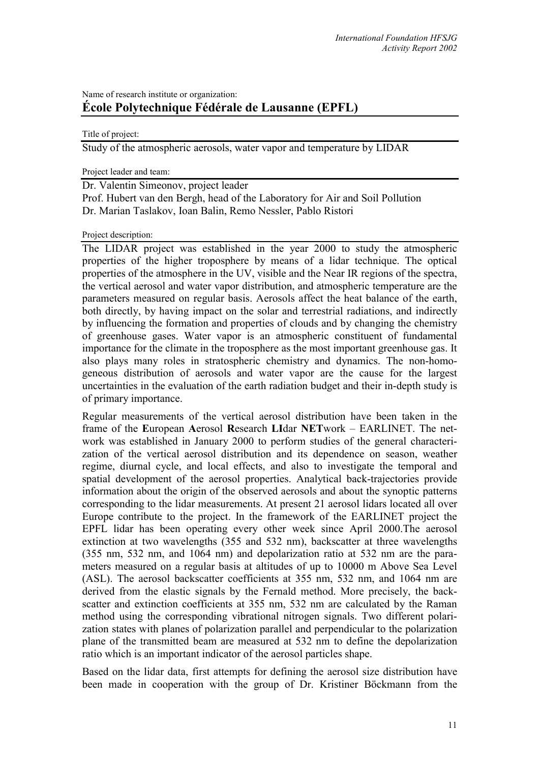# Name of research institute or organization: **École Polytechnique Fédérale de Lausanne (EPFL)**

Title of project:

Study of the atmospheric aerosols, water vapor and temperature by LIDAR

Project leader and team:

Dr. Valentin Simeonov, project leader Prof. Hubert van den Bergh, head of the Laboratory for Air and Soil Pollution Dr. Marian Taslakov, Ioan Balin, Remo Nessler, Pablo Ristori

Project description:

The LIDAR project was established in the year 2000 to study the atmospheric properties of the higher troposphere by means of a lidar technique. The optical properties of the atmosphere in the UV, visible and the Near IR regions of the spectra, the vertical aerosol and water vapor distribution, and atmospheric temperature are the parameters measured on regular basis. Aerosols affect the heat balance of the earth, both directly, by having impact on the solar and terrestrial radiations, and indirectly by influencing the formation and properties of clouds and by changing the chemistry of greenhouse gases. Water vapor is an atmospheric constituent of fundamental importance for the climate in the troposphere as the most important greenhouse gas. It also plays many roles in stratospheric chemistry and dynamics. The non-homogeneous distribution of aerosols and water vapor are the cause for the largest uncertainties in the evaluation of the earth radiation budget and their in-depth study is of primary importance.

Regular measurements of the vertical aerosol distribution have been taken in the frame of the **E**uropean **A**erosol **R**esearch **LI**dar **NET**work – EARLINET. The network was established in January 2000 to perform studies of the general characterization of the vertical aerosol distribution and its dependence on season, weather regime, diurnal cycle, and local effects, and also to investigate the temporal and spatial development of the aerosol properties. Analytical back-trajectories provide information about the origin of the observed aerosols and about the synoptic patterns corresponding to the lidar measurements. At present 21 aerosol lidars located all over Europe contribute to the project. In the framework of the EARLINET project the EPFL lidar has been operating every other week since April 2000.The aerosol extinction at two wavelengths (355 and 532 nm), backscatter at three wavelengths (355 nm, 532 nm, and 1064 nm) and depolarization ratio at 532 nm are the parameters measured on a regular basis at altitudes of up to 10000 m Above Sea Level (ASL). The aerosol backscatter coefficients at 355 nm, 532 nm, and 1064 nm are derived from the elastic signals by the Fernald method. More precisely, the backscatter and extinction coefficients at 355 nm, 532 nm are calculated by the Raman method using the corresponding vibrational nitrogen signals. Two different polarization states with planes of polarization parallel and perpendicular to the polarization plane of the transmitted beam are measured at 532 nm to define the depolarization ratio which is an important indicator of the aerosol particles shape.

Based on the lidar data, first attempts for defining the aerosol size distribution have been made in cooperation with the group of Dr. Kristiner Böckmann from the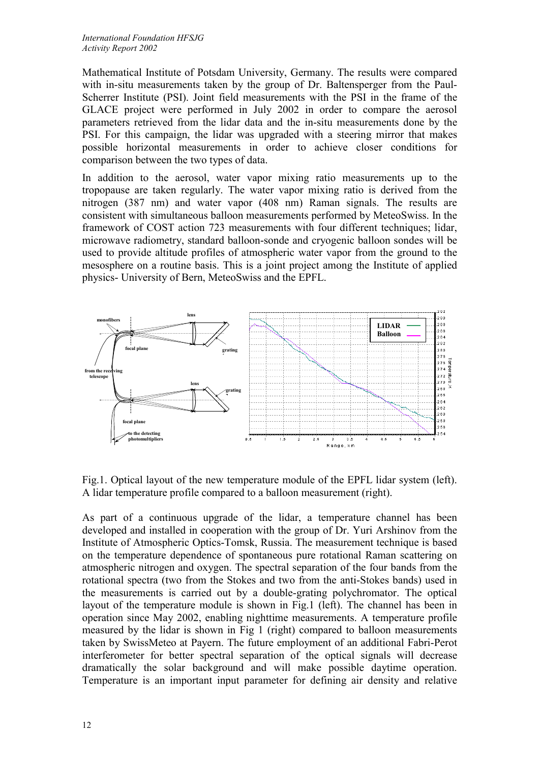Mathematical Institute of Potsdam University, Germany. The results were compared with in-situ measurements taken by the group of Dr. Baltensperger from the Paul-Scherrer Institute (PSI). Joint field measurements with the PSI in the frame of the GLACE project were performed in July 2002 in order to compare the aerosol parameters retrieved from the lidar data and the in-situ measurements done by the PSI. For this campaign, the lidar was upgraded with a steering mirror that makes possible horizontal measurements in order to achieve closer conditions for comparison between the two types of data.

In addition to the aerosol, water vapor mixing ratio measurements up to the tropopause are taken regularly. The water vapor mixing ratio is derived from the nitrogen (387 nm) and water vapor (408 nm) Raman signals. The results are consistent with simultaneous balloon measurements performed by MeteoSwiss. In the framework of COST action 723 measurements with four different techniques; lidar, microwave radiometry, standard balloon-sonde and cryogenic balloon sondes will be used to provide altitude profiles of atmospheric water vapor from the ground to the mesosphere on a routine basis. This is a joint project among the Institute of applied physics- University of Bern, MeteoSwiss and the EPFL.



Fig.1. Optical layout of the new temperature module of the EPFL lidar system (left). A lidar temperature profile compared to a balloon measurement (right).

As part of a continuous upgrade of the lidar, a temperature channel has been developed and installed in cooperation with the group of Dr. Yuri Arshinov from the Institute of Atmospheric Optics-Tomsk, Russia. The measurement technique is based on the temperature dependence of spontaneous pure rotational Raman scattering on atmospheric nitrogen and oxygen. The spectral separation of the four bands from the rotational spectra (two from the Stokes and two from the anti-Stokes bands) used in the measurements is carried out by a double-grating polychromator. The optical layout of the temperature module is shown in Fig.1 (left). The channel has been in operation since May 2002, enabling nighttime measurements. A temperature profile measured by the lidar is shown in Fig 1 (right) compared to balloon measurements taken by SwissMeteo at Payern. The future employment of an additional Fabri-Perot interferometer for better spectral separation of the optical signals will decrease dramatically the solar background and will make possible daytime operation. Temperature is an important input parameter for defining air density and relative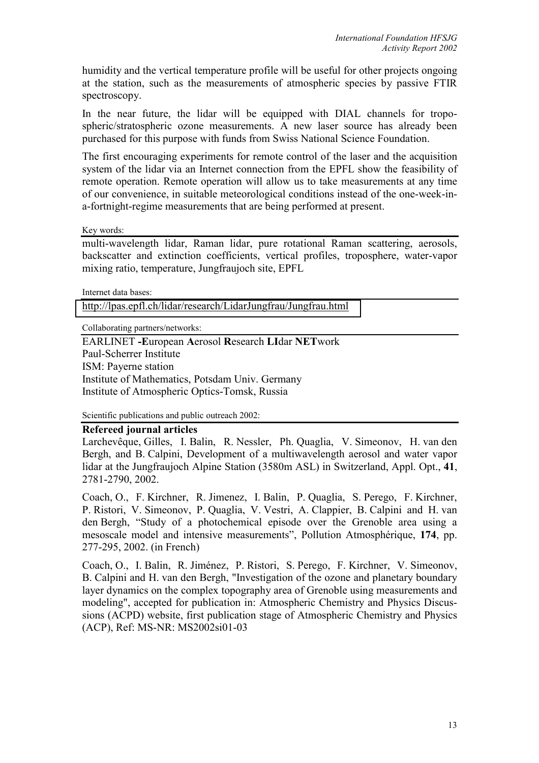humidity and the vertical temperature profile will be useful for other projects ongoing at the station, such as the measurements of atmospheric species by passive FTIR spectroscopy.

In the near future, the lidar will be equipped with DIAL channels for tropospheric/stratospheric ozone measurements. A new laser source has already been purchased for this purpose with funds from Swiss National Science Foundation.

The first encouraging experiments for remote control of the laser and the acquisition system of the lidar via an Internet connection from the EPFL show the feasibility of remote operation. Remote operation will allow us to take measurements at any time of our convenience, in suitable meteorological conditions instead of the one-week-ina-fortnight-regime measurements that are being performed at present.

Key words:

multi-wavelength lidar, Raman lidar, pure rotational Raman scattering, aerosols, backscatter and extinction coefficients, vertical profiles, troposphere, water-vapor mixing ratio, temperature, Jungfraujoch site, EPFL

Internet data bases:

<http://lpas.epfl.ch/lidar/research/LidarJungfrau/Jungfrau.html>

Collaborating partners/networks:

EARLINET **-E**uropean **A**erosol **R**esearch **LI**dar **NET**work Paul-Scherrer Institute ISM: Payerne station Institute of Mathematics, Potsdam Univ. Germany Institute of Atmospheric Optics-Tomsk, Russia

Scientific publications and public outreach 2002:

#### **Refereed journal articles**

Larchevêque, Gilles, I. Balin, R. Nessler, Ph. Quaglia, V. Simeonov, H. van den Bergh, and B. Calpini, Development of a multiwavelength aerosol and water vapor lidar at the Jungfraujoch Alpine Station (3580m ASL) in Switzerland, Appl. Opt., **41**, 2781-2790, 2002.

Coach, O., F. Kirchner, R. Jimenez, I. Balin, P. Quaglia, S. Perego, F. Kirchner, P. Ristori, V. Simeonov, P. Quaglia, V. Vestri, A. Clappier, B. Calpini and H. van den Bergh, "Study of a photochemical episode over the Grenoble area using a mesoscale model and intensive measurements", Pollution Atmosphérique, **174**, pp. 277-295, 2002. (in French)

Coach, O., I. Balin, R. Jiménez, P. Ristori, S. Perego, F. Kirchner, V. Simeonov, B. Calpini and H. van den Bergh, "Investigation of the ozone and planetary boundary layer dynamics on the complex topography area of Grenoble using measurements and modeling", accepted for publication in: Atmospheric Chemistry and Physics Discussions (ACPD) website, first publication stage of Atmospheric Chemistry and Physics (ACP), Ref: MS-NR: MS2002si01-03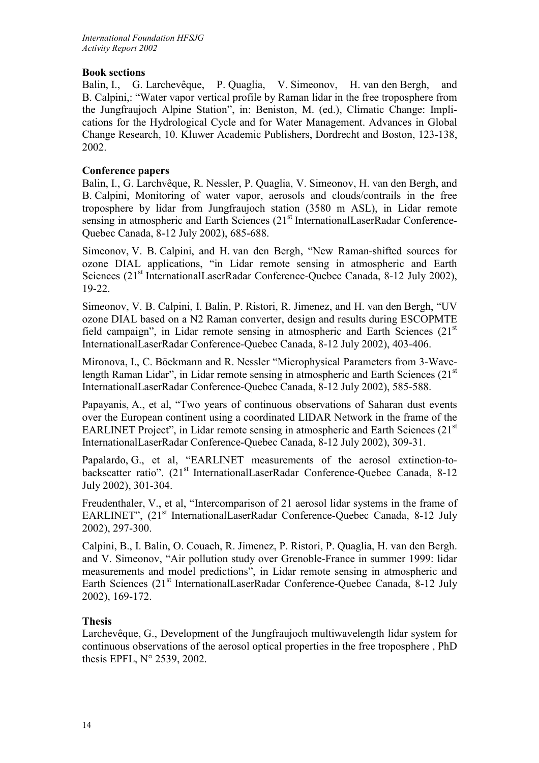## **Book sections**

Balin, I., G. Larchevêque, P. Quaglia, V. Simeonov, H. van den Bergh, and B. Calpini,: "Water vapor vertical profile by Raman lidar in the free troposphere from the Jungfraujoch Alpine Station", in: Beniston, M. (ed.), Climatic Change: Implications for the Hydrological Cycle and for Water Management. Advances in Global Change Research, 10. Kluwer Academic Publishers, Dordrecht and Boston, 123-138, 2002.

## **Conference papers**

Balin, I., G. Larchvêque, R. Nessler, P. Quaglia, V. Simeonov, H. van den Bergh, and B. Calpini, Monitoring of water vapor, aerosols and clouds/contrails in the free troposphere by lidar from Jungfraujoch station (3580 m ASL), in Lidar remote sensing in atmospheric and Earth Sciences (21<sup>st</sup> InternationalLaserRadar Conference-Quebec Canada, 8-12 July 2002), 685-688.

Simeonov, V. B. Calpini, and H. van den Bergh, "New Raman-shifted sources for ozone DIAL applications, "in Lidar remote sensing in atmospheric and Earth Sciences (21<sup>st</sup> InternationalLaserRadar Conference-Quebec Canada, 8-12 July 2002), 19-22.

Simeonov, V. B. Calpini, I. Balin, P. Ristori, R. Jimenez, and H. van den Bergh, "UV ozone DIAL based on a N2 Raman converter, design and results during ESCOPMTE field campaign", in Lidar remote sensing in atmospheric and Earth Sciences  $(21<sup>st</sup>)$ InternationalLaserRadar Conference-Quebec Canada, 8-12 July 2002), 403-406.

Mironova, I., C. Böckmann and R. Nessler "Microphysical Parameters from 3-Wavelength Raman Lidar", in Lidar remote sensing in atmospheric and Earth Sciences  $(21<sup>st</sup>)$ InternationalLaserRadar Conference-Quebec Canada, 8-12 July 2002), 585-588.

Papayanis, A., et al, "Two years of continuous observations of Saharan dust events over the European continent using a coordinated LIDAR Network in the frame of the EARLINET Project", in Lidar remote sensing in atmospheric and Earth Sciences  $(21<sup>st</sup>)$ InternationalLaserRadar Conference-Quebec Canada, 8-12 July 2002), 309-31.

Papalardo, G., et al, "EARLINET measurements of the aerosol extinction-tobackscatter ratio". (21<sup>st</sup> InternationalLaserRadar Conference-Quebec Canada, 8-12 July 2002), 301-304.

Freudenthaler, V., et al, "Intercomparison of 21 aerosol lidar systems in the frame of EARLINET", (21<sup>st</sup> InternationalLaserRadar Conference-Ouebec Canada, 8-12 July 2002), 297-300.

Calpini, B., I. Balin, O. Couach, R. Jimenez, P. Ristori, P. Quaglia, H. van den Bergh. and V. Simeonov, "Air pollution study over Grenoble-France in summer 1999: lidar measurements and model predictions", in Lidar remote sensing in atmospheric and Earth Sciences (21<sup>st</sup> InternationalLaserRadar Conference-Quebec Canada, 8-12 July 2002), 169-172.

#### **Thesis**

Larchevêque, G., Development of the Jungfraujoch multiwavelength lidar system for continuous observations of the aerosol optical properties in the free troposphere , PhD thesis EPFL, N° 2539, 2002.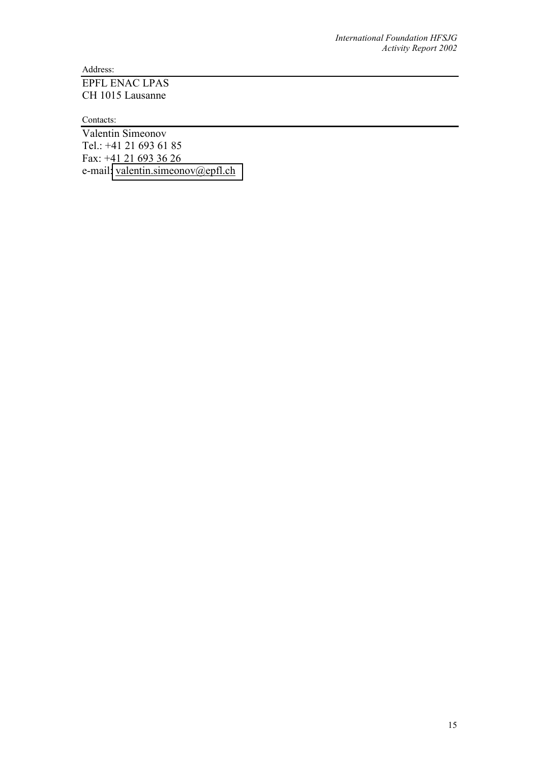Address:

## EPFL ENAC LPAS CH 1015 Lausanne

Contacts:

Valentin Simeonov Tel.: +41 21 693 61 85 Fax: +41 21 693 36 26 e-mail[: valentin.simeonov@epfl.ch](mailto:valentin.simeonov@epfl.ch)